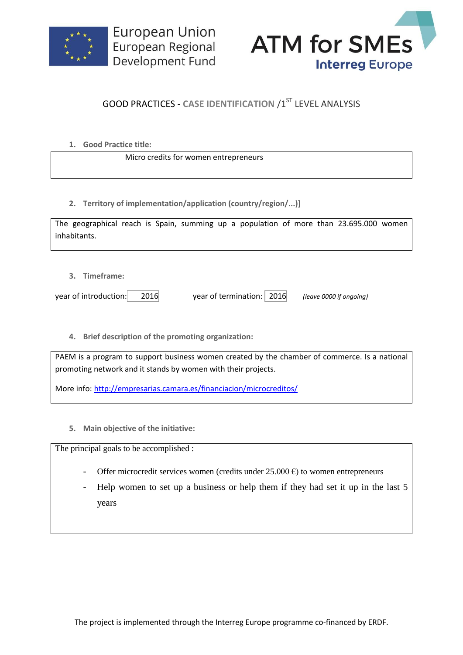



## **GOOD PRACTICES - CASE IDENTIFICATION /1ST LEVEL ANALYSIS**

| 1. | <b>Good Practice title:</b> |  |
|----|-----------------------------|--|
|    |                             |  |

Micro credits for women entrepreneurs

**2. Territory of implementation/application (country/region/...)]**

| The geographical reach is Spain, summing up a population of more than 23.695.000 women |  |  |  |  |  |  |
|----------------------------------------------------------------------------------------|--|--|--|--|--|--|
| inhabitants.                                                                           |  |  |  |  |  |  |

**3. Timeframe:**

year of introduction: 2016 year of termination: 2016 *(leave 0000 if ongoing)*

**4. Brief description of the promoting organization:**

PAEM is a program to support business women created by the chamber of commerce. Is a national promoting network and it stands by women with their projects.

More info:<http://empresarias.camara.es/financiacion/microcreditos/>

**5. Main objective of the initiative:**

The principal goals to be accomplished :

- Offer microcredit services women (credits under  $25.000 \text{ } \epsilon$ ) to women entrepreneurs
- Help women to set up a business or help them if they had set it up in the last 5 years